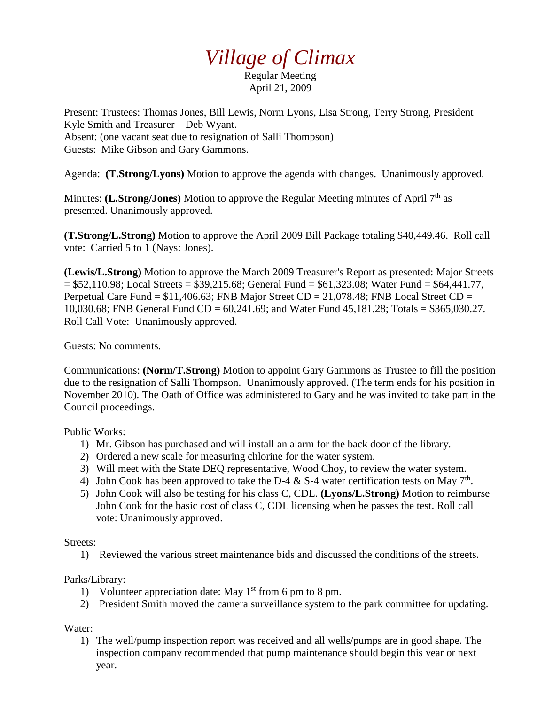## *Village of Climax*

Regular Meeting April 21, 2009

Present: Trustees: Thomas Jones, Bill Lewis, Norm Lyons, Lisa Strong, Terry Strong, President – Kyle Smith and Treasurer – Deb Wyant. Absent: (one vacant seat due to resignation of Salli Thompson) Guests: Mike Gibson and Gary Gammons.

Agenda: **(T.Strong/Lyons)** Motion to approve the agenda with changes. Unanimously approved.

Minutes: **(L.Strong/Jones)** Motion to approve the Regular Meeting minutes of April 7<sup>th</sup> as presented. Unanimously approved.

**(T.Strong/L.Strong)** Motion to approve the April 2009 Bill Package totaling \$40,449.46. Roll call vote: Carried 5 to 1 (Nays: Jones).

**(Lewis/L.Strong)** Motion to approve the March 2009 Treasurer's Report as presented: Major Streets  $= $52,110.98$ ; Local Streets  $= $39,215.68$ ; General Fund  $= $61,323.08$ ; Water Fund  $= $64,441.77$ , Perpetual Care Fund =  $$11,406.63$ ; FNB Major Street CD = 21,078.48; FNB Local Street CD = 10,030.68; FNB General Fund CD = 60,241.69; and Water Fund 45,181.28; Totals = \$365,030.27. Roll Call Vote: Unanimously approved.

Guests: No comments.

Communications: **(Norm/T.Strong)** Motion to appoint Gary Gammons as Trustee to fill the position due to the resignation of Salli Thompson. Unanimously approved. (The term ends for his position in November 2010). The Oath of Office was administered to Gary and he was invited to take part in the Council proceedings.

Public Works:

- 1) Mr. Gibson has purchased and will install an alarm for the back door of the library.
- 2) Ordered a new scale for measuring chlorine for the water system.
- 3) Will meet with the State DEQ representative, Wood Choy, to review the water system.
- 4) John Cook has been approved to take the D-4  $&$  S-4 water certification tests on May 7<sup>th</sup>.
- 5) John Cook will also be testing for his class C, CDL. **(Lyons/L.Strong)** Motion to reimburse John Cook for the basic cost of class C, CDL licensing when he passes the test. Roll call vote: Unanimously approved.

## Streets:

1) Reviewed the various street maintenance bids and discussed the conditions of the streets.

## Parks/Library:

- 1) Volunteer appreciation date: May  $1<sup>st</sup>$  from 6 pm to 8 pm.
- 2) President Smith moved the camera surveillance system to the park committee for updating.

Water:

1) The well/pump inspection report was received and all wells/pumps are in good shape. The inspection company recommended that pump maintenance should begin this year or next year.